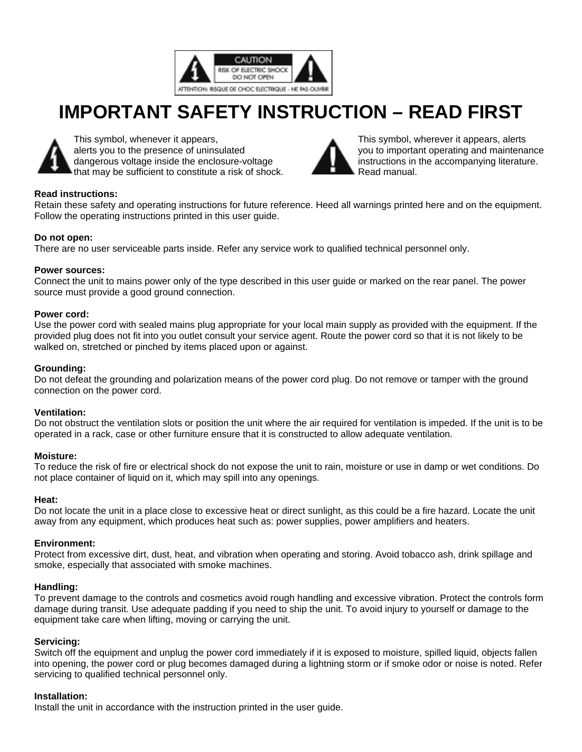

## **IMPORTANT SAFETY INSTRUCTION – READ FIRST**



This symbol, whenever it appears, This symbol, wherever it appears, alerts alerts you to the presence of uninsulated you to important operating and maintenance dangerous voltage inside the enclosure-voltage instructions in the accompanying literature.<br> **instructions in the accompanying literature.**<br>
Read manual that may be sufficient to constitute a risk of shock.



#### **Read instructions:**

Retain these safety and operating instructions for future reference. Heed all warnings printed here and on the equipment. Follow the operating instructions printed in this user guide.

#### **Do not open:**

There are no user serviceable parts inside. Refer any service work to qualified technical personnel only.

#### **Power sources:**

Connect the unit to mains power only of the type described in this user guide or marked on the rear panel. The power source must provide a good ground connection.

#### **Power cord:**

Use the power cord with sealed mains plug appropriate for your local main supply as provided with the equipment. If the provided plug does not fit into you outlet consult your service agent. Route the power cord so that it is not likely to be walked on, stretched or pinched by items placed upon or against.

#### **Grounding:**

Do not defeat the grounding and polarization means of the power cord plug. Do not remove or tamper with the ground connection on the power cord.

#### **Ventilation:**

Do not obstruct the ventilation slots or position the unit where the air required for ventilation is impeded. If the unit is to be operated in a rack, case or other furniture ensure that it is constructed to allow adequate ventilation.

#### **Moisture:**

To reduce the risk of fire or electrical shock do not expose the unit to rain, moisture or use in damp or wet conditions. Do not place container of liquid on it, which may spill into any openings.

#### **Heat:**

Do not locate the unit in a place close to excessive heat or direct sunlight, as this could be a fire hazard. Locate the unit away from any equipment, which produces heat such as: power supplies, power amplifiers and heaters.

#### **Environment:**

Protect from excessive dirt, dust, heat, and vibration when operating and storing. Avoid tobacco ash, drink spillage and smoke, especially that associated with smoke machines.

#### **Handling:**

To prevent damage to the controls and cosmetics avoid rough handling and excessive vibration. Protect the controls form damage during transit. Use adequate padding if you need to ship the unit. To avoid injury to yourself or damage to the equipment take care when lifting, moving or carrying the unit.

#### **Servicing:**

Switch off the equipment and unplug the power cord immediately if it is exposed to moisture, spilled liquid, objects fallen into opening, the power cord or plug becomes damaged during a lightning storm or if smoke odor or noise is noted. Refer servicing to qualified technical personnel only.

#### **Installation:**

Install the unit in accordance with the instruction printed in the user guide.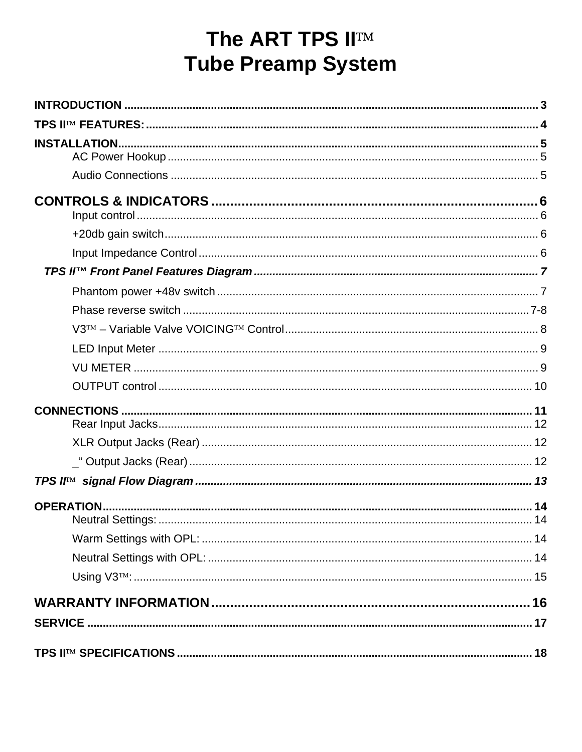# The ART TPS IITM **Tube Preamp System**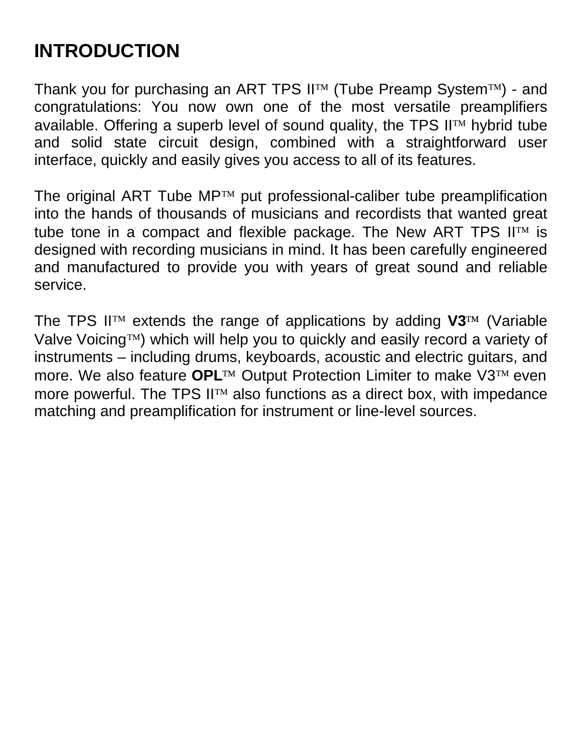## **INTRODUCTION**

Thank you for purchasing an ART TPS  $II^{TM}$  (Tube Preamp System $TM$ ) - and congratulations: You now own one of the most versatile preamplifiers available. Offering a superb level of sound quality, the TPS  $II<sup>TM</sup>$  hybrid tube and solid state circuit design, combined with a straightforward user interface, quickly and easily gives you access to all of its features.

The original ART Tube  $MP^{TM}$  put professional-caliber tube preamplification into the hands of thousands of musicians and recordists that wanted great tube tone in a compact and flexible package. The New ART TPS  $II^{TM}$  is designed with recording musicians in mind. It has been carefully engineered and manufactured to provide you with years of great sound and reliable service.

The TPS II<sup>TM</sup> extends the range of applications by adding V3<sup>TM</sup> (Variable Valve Voicing<sup>TM</sup>) which will help you to quickly and easily record a variety of instruments – including drums, keyboards, acoustic and electric guitars, and more. We also feature **OPL**<sup>IM</sup> Output Protection Limiter to make V3<sup>IM</sup> even more powerful. The TPS IITM also functions as a direct box, with impedance matching and preamplification for instrument or line-level sources.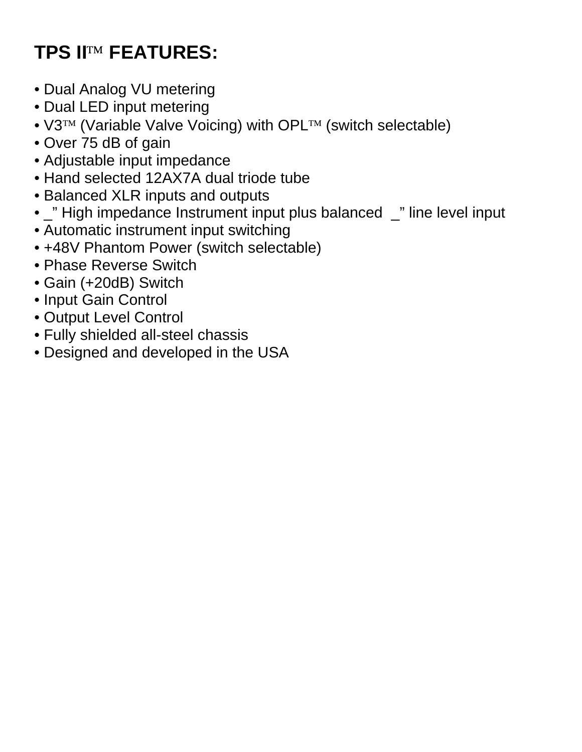# **TPS IITM FEATURES:**

- Dual Analog VU metering
- Dual LED input metering
- $\sqrt{3^{TM}}$  (Variable Valve Voicing) with OPL $TM$  (switch selectable)
- Over 75 dB of gain
- Adjustable input impedance
- Hand selected 12AX7A dual triode tube
- Balanced XLR inputs and outputs
- \_" High impedance Instrument input plus balanced \_" line level input
- Automatic instrument input switching
- +48V Phantom Power (switch selectable)
- Phase Reverse Switch
- Gain (+20dB) Switch
- Input Gain Control
- Output Level Control
- Fully shielded all-steel chassis
- Designed and developed in the USA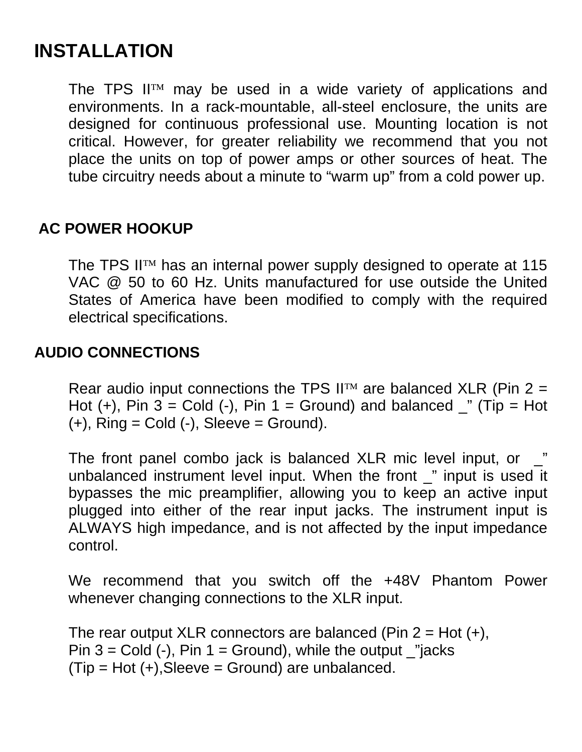## **INSTALLATION**

The TPS II $TM$  may be used in a wide variety of applications and environments. In a rack-mountable, all-steel enclosure, the units are designed for continuous professional use. Mounting location is not critical. However, for greater reliability we recommend that you not place the units on top of power amps or other sources of heat. The tube circuitry needs about a minute to "warm up" from a cold power up.

### **AC POWER HOOKUP**

The TPS II<sup>TM</sup> has an internal power supply designed to operate at 115 VAC @ 50 to 60 Hz. Units manufactured for use outside the United States of America have been modified to comply with the required electrical specifications.

### **AUDIO CONNECTIONS**

Rear audio input connections the TPS  $II<sup>TM</sup>$  are balanced XLR (Pin 2 = Hot  $(+)$ , Pin 3 = Cold  $(-)$ , Pin 1 = Ground) and balanced  $\cdots$  (Tip = Hot  $(+)$ , Ring = Cold  $(-)$ , Sleeve = Ground).

The front panel combo jack is balanced XLR mic level input, or \_" unbalanced instrument level input. When the front \_" input is used it bypasses the mic preamplifier, allowing you to keep an active input plugged into either of the rear input jacks. The instrument input is ALWAYS high impedance, and is not affected by the input impedance control.

We recommend that you switch off the +48V Phantom Power whenever changing connections to the XLR input.

The rear output XLR connectors are balanced (Pin  $2 = Hot (+)$ , Pin  $3 =$  Cold (-), Pin  $1 =$  Ground), while the output \_"jacks  $(Tip = Hot (+),Sleeve = Ground)$  are unbalanced.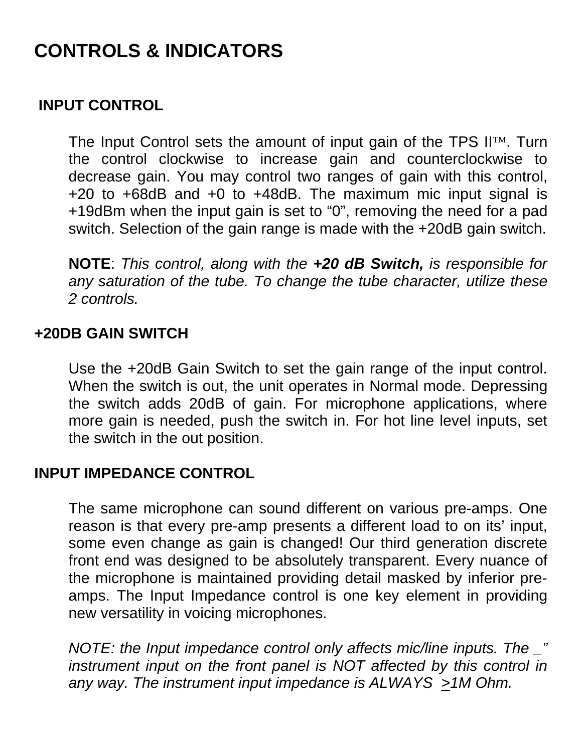## **CONTROLS & INDICATORS**

#### **INPUT CONTROL**

The Input Control sets the amount of input gain of the TPS  $II<sup>TM</sup>$ . Turn the control clockwise to increase gain and counterclockwise to decrease gain. You may control two ranges of gain with this control, +20 to +68dB and +0 to +48dB. The maximum mic input signal is +19dBm when the input gain is set to "0", removing the need for a pad switch. Selection of the gain range is made with the +20dB gain switch.

**NOTE**: *This control, along with the +20 dB Switch, is responsible for any saturation of the tube. To change the tube character, utilize these 2 controls.*

#### **+20DB GAIN SWITCH**

Use the +20dB Gain Switch to set the gain range of the input control. When the switch is out, the unit operates in Normal mode. Depressing the switch adds 20dB of gain. For microphone applications, where more gain is needed, push the switch in. For hot line level inputs, set the switch in the out position.

#### **INPUT IMPEDANCE CONTROL**

The same microphone can sound different on various pre-amps. One reason is that every pre-amp presents a different load to on its' input, some even change as gain is changed! Our third generation discrete front end was designed to be absolutely transparent. Every nuance of the microphone is maintained providing detail masked by inferior preamps. The Input Impedance control is one key element in providing new versatility in voicing microphones.

*NOTE: the Input impedance control only affects mic/line inputs. The \_" instrument input on the front panel is NOT affected by this control in any way. The instrument input impedance is ALWAYS >1M Ohm.*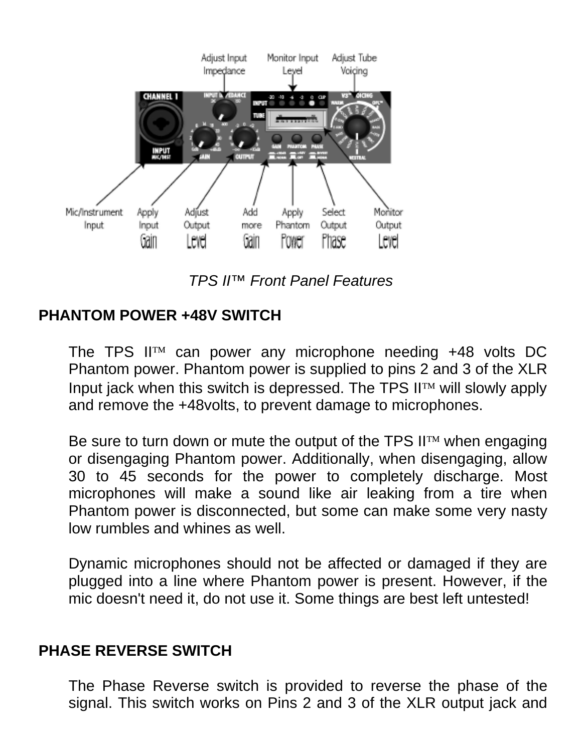

*TPS II™ Front Panel Features*

## **PHANTOM POWER +48V SWITCH**

The TPS  $II<sup>TM</sup>$  can power any microphone needing  $+48$  volts DC Phantom power. Phantom power is supplied to pins 2 and 3 of the XLR Input jack when this switch is depressed. The TPS  $II<sup>TM</sup>$  will slowly apply and remove the +48volts, to prevent damage to microphones.

Be sure to turn down or mute the output of the TPS  $\mathsf{II}^{\mathrm{TM}}$  when engaging or disengaging Phantom power. Additionally, when disengaging, allow 30 to 45 seconds for the power to completely discharge. Most microphones will make a sound like air leaking from a tire when Phantom power is disconnected, but some can make some very nasty low rumbles and whines as well.

Dynamic microphones should not be affected or damaged if they are plugged into a line where Phantom power is present. However, if the mic doesn't need it, do not use it. Some things are best left untested!

#### **PHASE REVERSE SWITCH**

The Phase Reverse switch is provided to reverse the phase of the signal. This switch works on Pins 2 and 3 of the XLR output jack and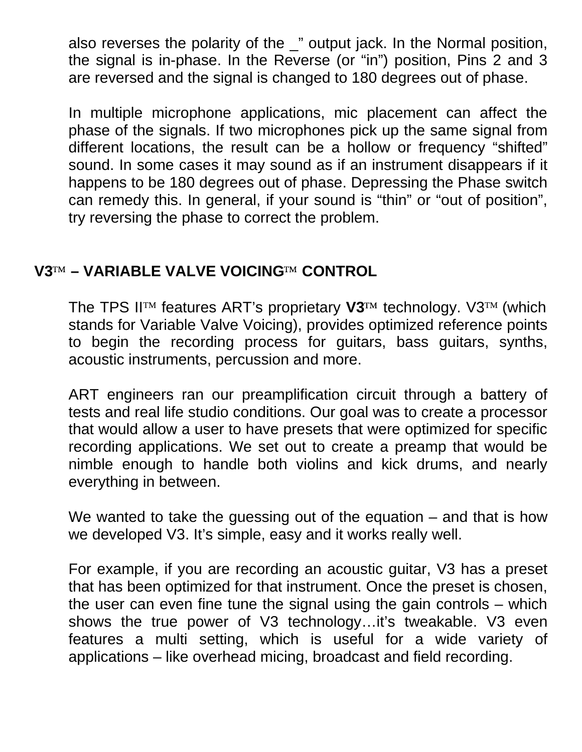also reverses the polarity of the \_" output jack. In the Normal position, the signal is in-phase. In the Reverse (or "in") position, Pins 2 and 3 are reversed and the signal is changed to 180 degrees out of phase.

In multiple microphone applications, mic placement can affect the phase of the signals. If two microphones pick up the same signal from different locations, the result can be a hollow or frequency "shifted" sound. In some cases it may sound as if an instrument disappears if it happens to be 180 degrees out of phase. Depressing the Phase switch can remedy this. In general, if your sound is "thin" or "out of position", try reversing the phase to correct the problem.

### **V3™ – VARIABLE VALVE VOICING™ CONTROL**

The TPS II<sup>TM</sup> features ART's proprietary V3<sup>TM</sup> technology. V3<sup>TM</sup> (which stands for Variable Valve Voicing), provides optimized reference points to begin the recording process for guitars, bass guitars, synths, acoustic instruments, percussion and more.

ART engineers ran our preamplification circuit through a battery of tests and real life studio conditions. Our goal was to create a processor that would allow a user to have presets that were optimized for specific recording applications. We set out to create a preamp that would be nimble enough to handle both violins and kick drums, and nearly everything in between.

We wanted to take the guessing out of the equation – and that is how we developed V3. It's simple, easy and it works really well.

For example, if you are recording an acoustic guitar, V3 has a preset that has been optimized for that instrument. Once the preset is chosen, the user can even fine tune the signal using the gain controls – which shows the true power of V3 technology…it's tweakable. V3 even features a multi setting, which is useful for a wide variety of applications – like overhead micing, broadcast and field recording.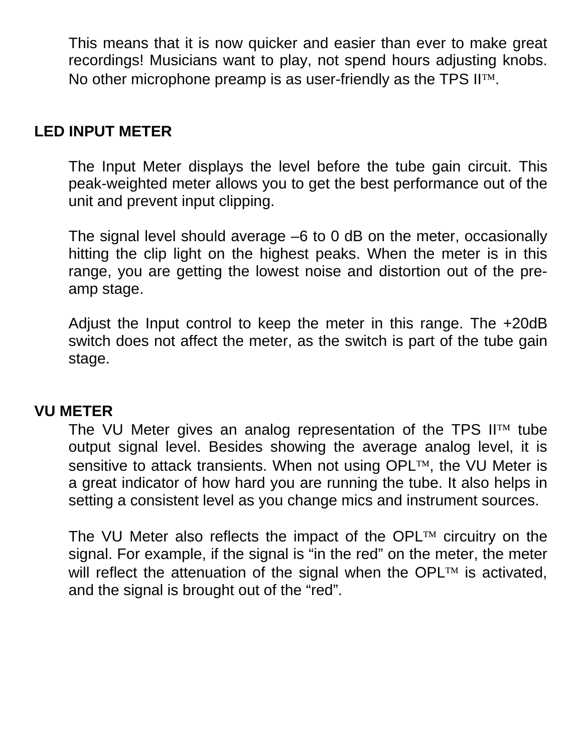This means that it is now quicker and easier than ever to make great recordings! Musicians want to play, not spend hours adjusting knobs. No other microphone preamp is as user-friendly as the TPS  $II<sup>TM</sup>$ .

### **LED INPUT METER**

The Input Meter displays the level before the tube gain circuit. This peak-weighted meter allows you to get the best performance out of the unit and prevent input clipping.

The signal level should average –6 to 0 dB on the meter, occasionally hitting the clip light on the highest peaks. When the meter is in this range, you are getting the lowest noise and distortion out of the preamp stage.

Adjust the Input control to keep the meter in this range. The +20dB switch does not affect the meter, as the switch is part of the tube gain stage.

#### **VU METER**

The VU Meter gives an analog representation of the TPS  $II<sup>TM</sup>$  tube output signal level. Besides showing the average analog level, it is sensitive to attack transients. When not using  $OPL^{TM}$ , the VU Meter is a great indicator of how hard you are running the tube. It also helps in setting a consistent level as you change mics and instrument sources.

The VU Meter also reflects the impact of the OPL $TM$  circuitry on the signal. For example, if the signal is "in the red" on the meter, the meter will reflect the attenuation of the signal when the OPL $TM$  is activated, and the signal is brought out of the "red".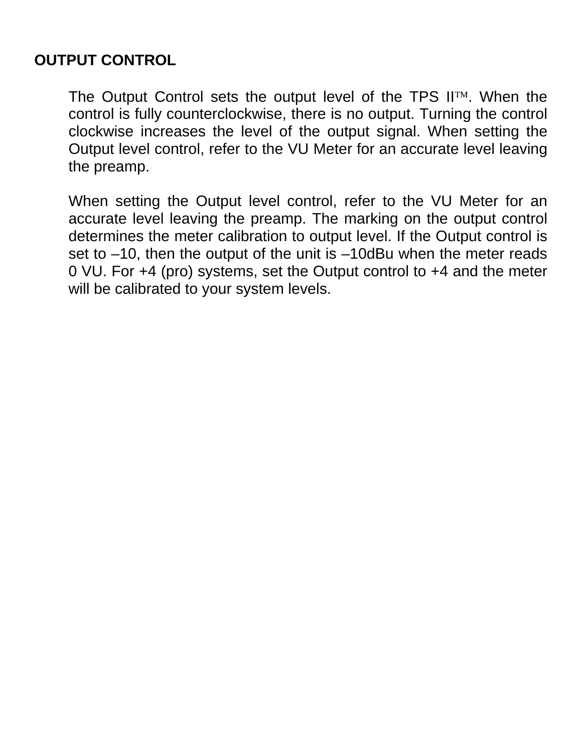### **OUTPUT CONTROL**

The Output Control sets the output level of the TPS  $\mathsf{II}^{\mathrm{TM}}$ . When the control is fully counterclockwise, there is no output. Turning the control clockwise increases the level of the output signal. When setting the Output level control, refer to the VU Meter for an accurate level leaving the preamp.

When setting the Output level control, refer to the VU Meter for an accurate level leaving the preamp. The marking on the output control determines the meter calibration to output level. If the Output control is set to –10, then the output of the unit is –10dBu when the meter reads 0 VU. For +4 (pro) systems, set the Output control to +4 and the meter will be calibrated to your system levels.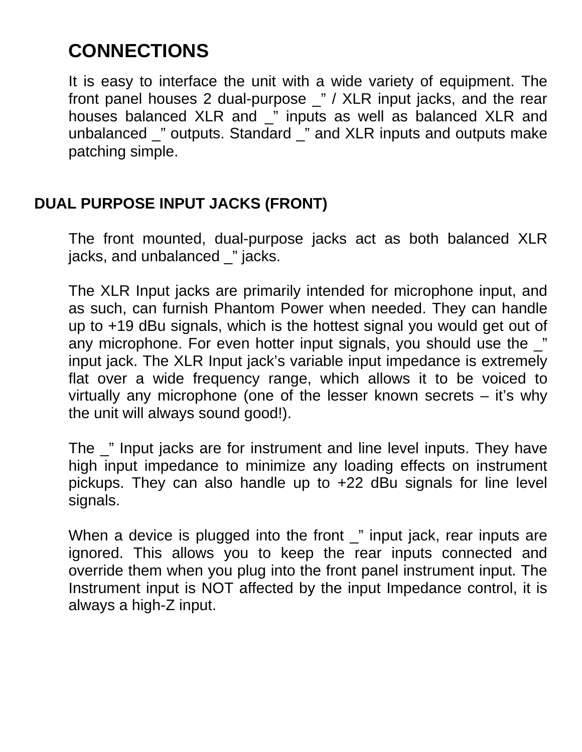## **CONNECTIONS**

It is easy to interface the unit with a wide variety of equipment. The front panel houses 2 dual-purpose \_" / XLR input jacks, and the rear houses balanced XLR and \_" inputs as well as balanced XLR and unbalanced \_" outputs. Standard \_" and XLR inputs and outputs make patching simple.

### **DUAL PURPOSE INPUT JACKS (FRONT)**

The front mounted, dual-purpose jacks act as both balanced XLR jacks, and unbalanced \_" jacks.

The XLR Input jacks are primarily intended for microphone input, and as such, can furnish Phantom Power when needed. They can handle up to +19 dBu signals, which is the hottest signal you would get out of any microphone. For even hotter input signals, you should use the " input jack. The XLR Input jack's variable input impedance is extremely flat over a wide frequency range, which allows it to be voiced to virtually any microphone (one of the lesser known secrets – it's why the unit will always sound good!).

The " Input jacks are for instrument and line level inputs. They have high input impedance to minimize any loading effects on instrument pickups. They can also handle up to +22 dBu signals for line level signals.

When a device is plugged into the front \_" input jack, rear inputs are ignored. This allows you to keep the rear inputs connected and override them when you plug into the front panel instrument input. The Instrument input is NOT affected by the input Impedance control, it is always a high-Z input.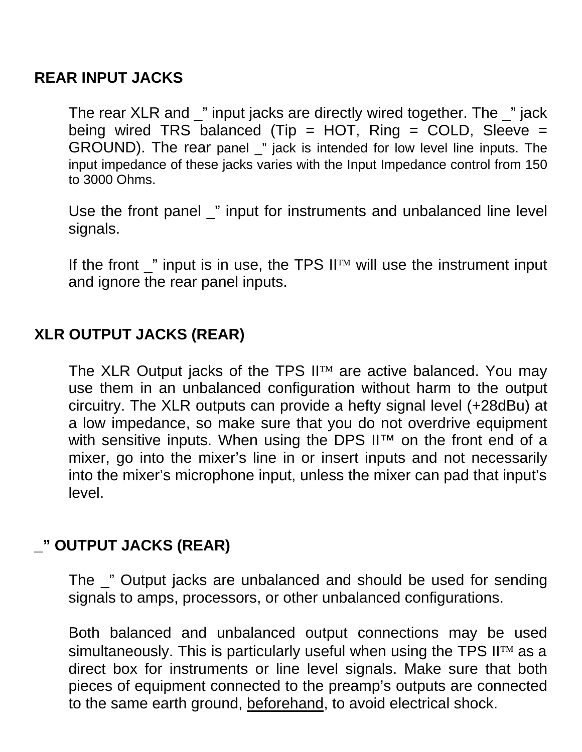#### **REAR INPUT JACKS**

The rear XLR and \_" input jacks are directly wired together. The \_" jack being wired TRS balanced (Tip = HOT, Ring = COLD, Sleeve = GROUND). The rear panel \_" jack is intended for low level line inputs. The input impedance of these jacks varies with the Input Impedance control from 150 to 3000 Ohms.

Use the front panel \_" input for instruments and unbalanced line level signals.

If the front  $\degree$  input is in use, the TPS II $\degree$  will use the instrument input and ignore the rear panel inputs.

### **XLR OUTPUT JACKS (REAR)**

The XLR Output jacks of the TPS  $II<sup>TM</sup>$  are active balanced. You may use them in an unbalanced configuration without harm to the output circuitry. The XLR outputs can provide a hefty signal level (+28dBu) at a low impedance, so make sure that you do not overdrive equipment with sensitive inputs. When using the DPS II™ on the front end of a mixer, go into the mixer's line in or insert inputs and not necessarily into the mixer's microphone input, unless the mixer can pad that input's level.

#### **\_" OUTPUT JACKS (REAR)**

The \_" Output jacks are unbalanced and should be used for sending signals to amps, processors, or other unbalanced configurations.

Both balanced and unbalanced output connections may be used simultaneously. This is particularly useful when using the TPS  $II<sup>TM</sup>$  as a direct box for instruments or line level signals. Make sure that both pieces of equipment connected to the preamp's outputs are connected to the same earth ground, beforehand, to avoid electrical shock.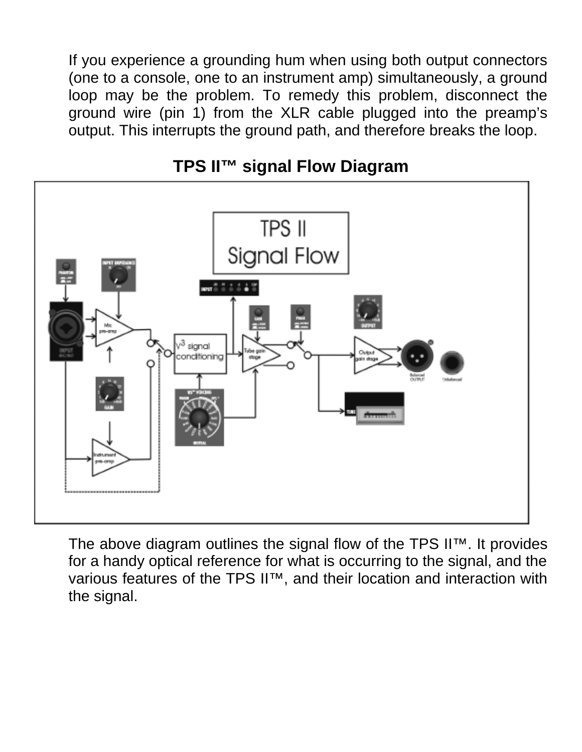If you experience a grounding hum when using both output connectors (one to a console, one to an instrument amp) simultaneously, a ground loop may be the problem. To remedy this problem, disconnect the ground wire (pin 1) from the XLR cable plugged into the preamp's output. This interrupts the ground path, and therefore breaks the loop.



## **TPS II™ signal Flow Diagram**

The above diagram outlines the signal flow of the TPS II™. It provides for a handy optical reference for what is occurring to the signal, and the various features of the TPS II™, and their location and interaction with the signal.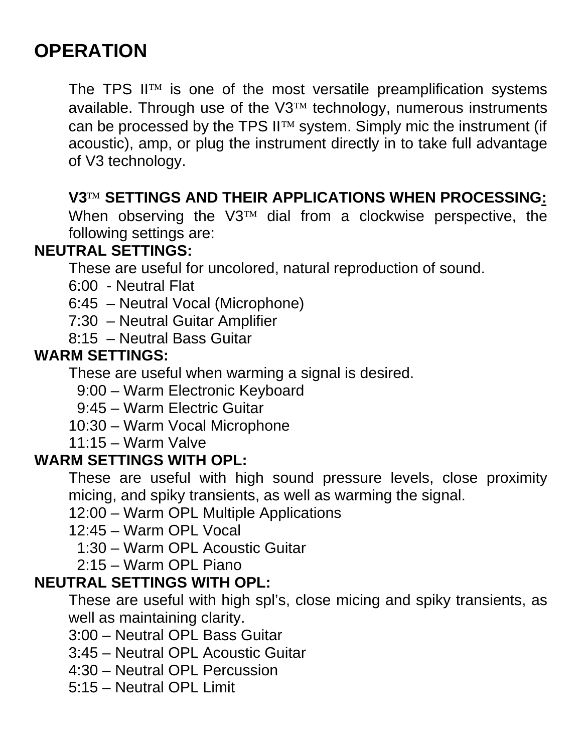## **OPERATION**

The TPS II $<sup>TM</sup>$  is one of the most versatile preamplification systems</sup> available. Through use of the  $V3^{TM}$  technology, numerous instruments can be processed by the TPS  $II<sup>TM</sup>$  system. Simply mic the instrument (if acoustic), amp, or plug the instrument directly in to take full advantage of V3 technology.

## **V3TM SETTINGS AND THEIR APPLICATIONS WHEN PROCESSING:**

When observing the  $V3^{TM}$  dial from a clockwise perspective, the following settings are:

## **NEUTRAL SETTINGS:**

These are useful for uncolored, natural reproduction of sound.

- 6:00 Neutral Flat
- 6:45 Neutral Vocal (Microphone)
- 7:30 Neutral Guitar Amplifier
- 8:15 Neutral Bass Guitar

### **WARM SETTINGS:**

These are useful when warming a signal is desired.

- 9:00 Warm Electronic Keyboard
- 9:45 Warm Electric Guitar
- 10:30 Warm Vocal Microphone
- 11:15 Warm Valve

### **WARM SETTINGS WITH OPL:**

These are useful with high sound pressure levels, close proximity micing, and spiky transients, as well as warming the signal.

12:00 – Warm OPL Multiple Applications

- 12:45 Warm OPL Vocal
	- 1:30 Warm OPL Acoustic Guitar
	- 2:15 Warm OPL Piano

### **NEUTRAL SETTINGS WITH OPL:**

These are useful with high spl's, close micing and spiky transients, as well as maintaining clarity.

- 3:00 Neutral OPL Bass Guitar
- 3:45 Neutral OPL Acoustic Guitar
- 4:30 Neutral OPL Percussion
- 5:15 Neutral OPL Limit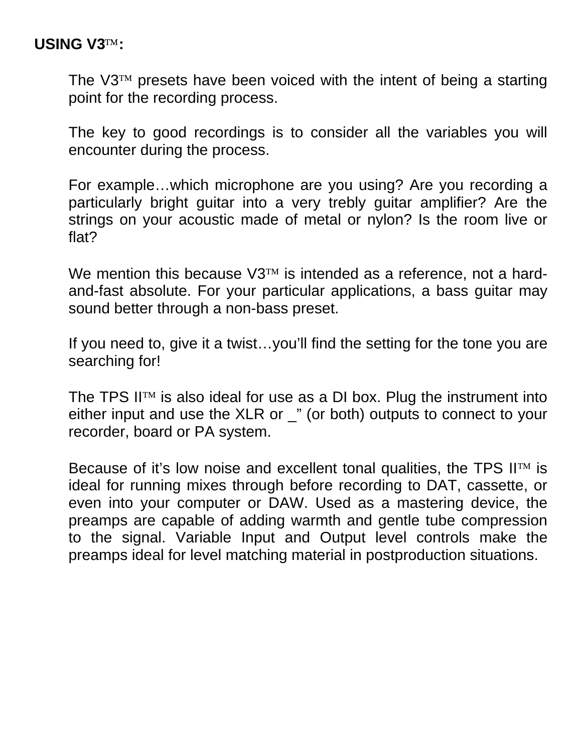#### **USING V3TM:**

The  $\sqrt{3}$ <sup>M</sup> presets have been voiced with the intent of being a starting point for the recording process.

The key to good recordings is to consider all the variables you will encounter during the process.

For example…which microphone are you using? Are you recording a particularly bright guitar into a very trebly guitar amplifier? Are the strings on your acoustic made of metal or nylon? Is the room live or flat?

We mention this because  $V3^{TM}$  is intended as a reference, not a hardand-fast absolute. For your particular applications, a bass guitar may sound better through a non-bass preset.

If you need to, give it a twist…you'll find the setting for the tone you are searching for!

The TPS  $II<sup>TM</sup>$  is also ideal for use as a DI box. Plug the instrument into either input and use the XLR or \_" (or both) outputs to connect to your recorder, board or PA system.

Because of it's low noise and excellent tonal qualities, the TPS  $II<sup>TM</sup>$  is ideal for running mixes through before recording to DAT, cassette, or even into your computer or DAW. Used as a mastering device, the preamps are capable of adding warmth and gentle tube compression to the signal. Variable Input and Output level controls make the preamps ideal for level matching material in postproduction situations.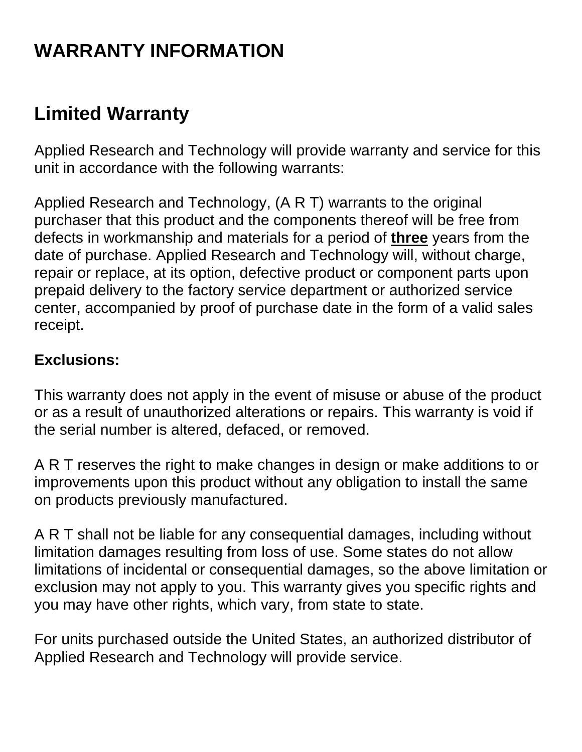## **WARRANTY INFORMATION**

## **Limited Warranty**

Applied Research and Technology will provide warranty and service for this unit in accordance with the following warrants:

Applied Research and Technology, (A R T) warrants to the original purchaser that this product and the components thereof will be free from defects in workmanship and materials for a period of **three** years from the date of purchase. Applied Research and Technology will, without charge, repair or replace, at its option, defective product or component parts upon prepaid delivery to the factory service department or authorized service center, accompanied by proof of purchase date in the form of a valid sales receipt.

## **Exclusions:**

This warranty does not apply in the event of misuse or abuse of the product or as a result of unauthorized alterations or repairs. This warranty is void if the serial number is altered, defaced, or removed.

A R T reserves the right to make changes in design or make additions to or improvements upon this product without any obligation to install the same on products previously manufactured.

A R T shall not be liable for any consequential damages, including without limitation damages resulting from loss of use. Some states do not allow limitations of incidental or consequential damages, so the above limitation or exclusion may not apply to you. This warranty gives you specific rights and you may have other rights, which vary, from state to state.

For units purchased outside the United States, an authorized distributor of Applied Research and Technology will provide service.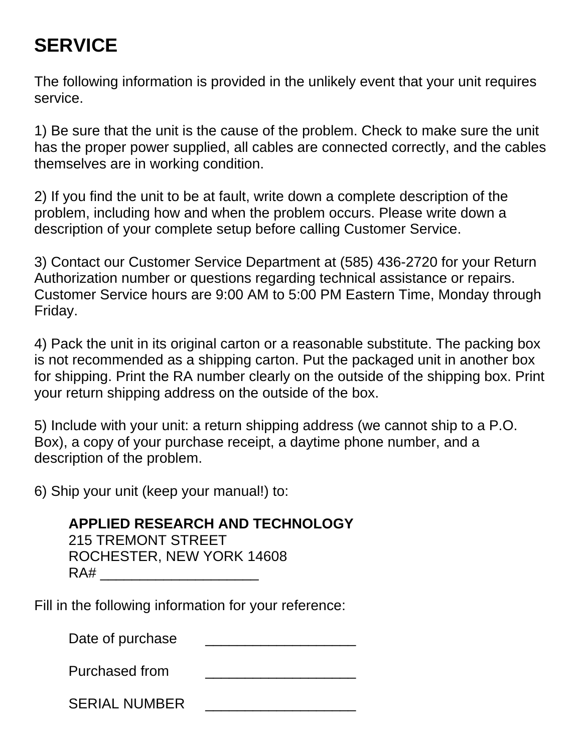## **SERVICE**

The following information is provided in the unlikely event that your unit requires service.

1) Be sure that the unit is the cause of the problem. Check to make sure the unit has the proper power supplied, all cables are connected correctly, and the cables themselves are in working condition.

2) If you find the unit to be at fault, write down a complete description of the problem, including how and when the problem occurs. Please write down a description of your complete setup before calling Customer Service.

3) Contact our Customer Service Department at (585) 436-2720 for your Return Authorization number or questions regarding technical assistance or repairs. Customer Service hours are 9:00 AM to 5:00 PM Eastern Time, Monday through Friday.

4) Pack the unit in its original carton or a reasonable substitute. The packing box is not recommended as a shipping carton. Put the packaged unit in another box for shipping. Print the RA number clearly on the outside of the shipping box. Print your return shipping address on the outside of the box.

5) Include with your unit: a return shipping address (we cannot ship to a P.O. Box), a copy of your purchase receipt, a daytime phone number, and a description of the problem.

6) Ship your unit (keep your manual!) to:

#### **APPLIED RESEARCH AND TECHNOLOGY**

215 TREMONT STREET ROCHESTER, NEW YORK 14608 RA# \_\_\_\_\_\_\_\_\_\_\_\_\_\_\_\_\_\_\_\_

Fill in the following information for your reference:

Date of purchase

Purchased from

SERIAL NUMBER